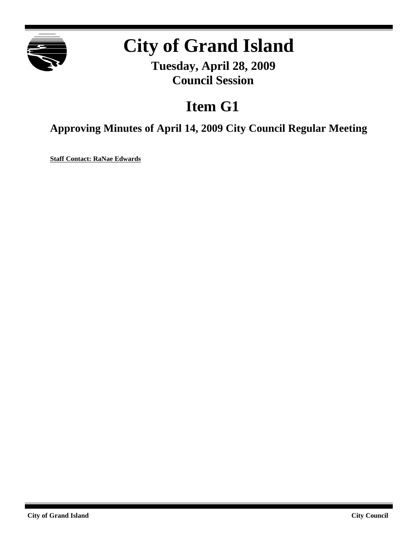

# **City of Grand Island**

**Tuesday, April 28, 2009 Council Session**

# **Item G1**

**Approving Minutes of April 14, 2009 City Council Regular Meeting**

**Staff Contact: RaNae Edwards**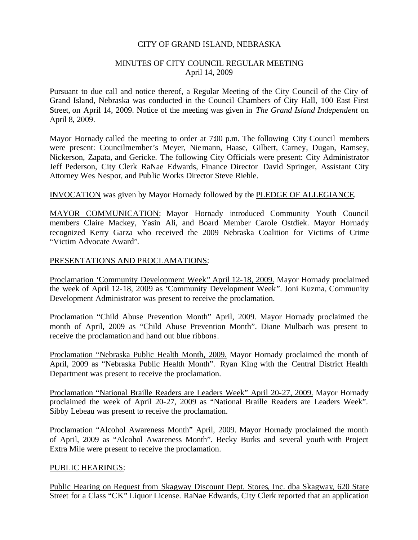#### CITY OF GRAND ISLAND, NEBRASKA

#### MINUTES OF CITY COUNCIL REGULAR MEETING April 14, 2009

Pursuant to due call and notice thereof, a Regular Meeting of the City Council of the City of Grand Island, Nebraska was conducted in the Council Chambers of City Hall, 100 East First Street, on April 14, 2009. Notice of the meeting was given in *The Grand Island Independent* on April 8, 2009.

Mayor Hornady called the meeting to order at 7:00 p.m. The following City Council members were present: Councilmember's Meyer, Niemann, Haase, Gilbert, Carney, Dugan, Ramsey, Nickerson, Zapata, and Gericke. The following City Officials were present: City Administrator Jeff Pederson, City Clerk RaNae Edwards, Finance Director David Springer, Assistant City Attorney Wes Nespor, and Public Works Director Steve Riehle.

#### INVOCATION was given by Mayor Hornady followed by the PLEDGE OF ALLEGIANCE.

MAYOR COMMUNICATION: Mayor Hornady introduced Community Youth Council members Claire Mackey, Yasin Ali, and Board Member Carole Ostdiek. Mayor Hornady recognized Kerry Garza who received the 2009 Nebraska Coalition for Victims of Crime "Victim Advocate Award".

#### PRESENTATIONS AND PROCLAMATIONS:

Proclamation "Community Development Week" April 12-18, 2009. Mayor Hornady proclaimed the week of April 12-18, 2009 as "Community Development Week". Joni Kuzma, Community Development Administrator was present to receive the proclamation.

Proclamation "Child Abuse Prevention Month" April, 2009. Mayor Hornady proclaimed the month of April, 2009 as "Child Abuse Prevention Month". Diane Mulbach was present to receive the proclamation and hand out blue ribbons.

Proclamation "Nebraska Public Health Month, 2009. Mayor Hornady proclaimed the month of April, 2009 as "Nebraska Public Health Month". Ryan King with the Central District Health Department was present to receive the proclamation.

Proclamation "National Braille Readers are Leaders Week" April 20-27, 2009. Mayor Hornady proclaimed the week of April 20-27, 2009 as "National Braille Readers are Leaders Week". Sibby Lebeau was present to receive the proclamation.

Proclamation "Alcohol Awareness Month" April, 2009. Mayor Hornady proclaimed the month of April, 2009 as "Alcohol Awareness Month". Becky Burks and several youth with Project Extra Mile were present to receive the proclamation.

#### PUBLIC HEARINGS:

Public Hearing on Request from Skagway Discount Dept. Stores, Inc. dba Skagway, 620 State Street for a Class "CK" Liquor License. RaNae Edwards, City Clerk reported that an application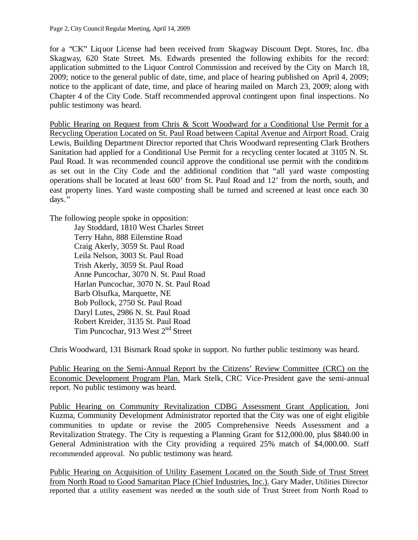for a "CK" Liquor License had been received from Skagway Discount Dept. Stores, Inc. dba Skagway, 620 State Street. Ms. Edwards presented the following exhibits for the record: application submitted to the Liquor Control Commission and received by the City on March 18, 2009; notice to the general public of date, time, and place of hearing published on April 4, 2009; notice to the applicant of date, time, and place of hearing mailed on March 23, 2009; along with Chapter 4 of the City Code. Staff recommended approval contingent upon final inspections. No public testimony was heard.

Public Hearing on Request from Chris & Scott Woodward for a Conditional Use Permit for a Recycling Operation Located on St. Paul Road between Capital Avenue and Airport Road. Craig Lewis, Building Department Director reported that Chris Woodward representing Clark Brothers Sanitation had applied for a Conditional Use Permit for a recycling center located at 3105 N. St. Paul Road. It was recommended council approve the conditional use permit with the conditions as set out in the City Code and the additional condition that "all yard waste composting operations shall be located at least 600' from St. Paul Road and 12' from the north, south, and east property lines. Yard waste composting shall be turned and screened at least once each 30 days."

The following people spoke in opposition:

Jay Stoddard, 1810 West Charles Street Terry Hahn, 888 Eilenstine Road Craig Akerly, 3059 St. Paul Road Leila Nelson, 3003 St. Paul Road Trish Akerly, 3059 St. Paul Road Anne Puncochar, 3070 N. St. Paul Road Harlan Puncochar, 3070 N. St. Paul Road Barb Olsufka, Marquette, NE Bob Pollock, 2750 St. Paul Road Daryl Lutes, 2986 N. St. Paul Road Robert Kreider, 3135 St. Paul Road Tim Puncochar, 913 West 2<sup>nd</sup> Street

Chris Woodward, 131 Bismark Road spoke in support. No further public testimony was heard.

Public Hearing on the Semi-Annual Report by the Citizens' Review Committee (CRC) on the Economic Development Program Plan. Mark Stelk, CRC Vice-President gave the semi-annual report. No public testimony was heard.

Public Hearing on Community Revitalization CDBG Assessment Grant Application. Joni Kuzma, Community Development Administrator reported that the City was one of eight eligible communities to update or revise the 2005 Comprehensive Needs Assessment and a Revitalization Strategy. The City is requesting a Planning Grant for \$12,000.00, plus \$840.00 in General Administration with the City providing a required 25% match of \$4,000.00. Staff recommended approval. No public testimony was heard.

Public Hearing on Acquisition of Utility Easement Located on the South Side of Trust Street from North Road to Good Samaritan Place (Chief Industries, Inc.). Gary Mader, Utilities Director reported that a utility easement was needed on the south side of Trust Street from North Road to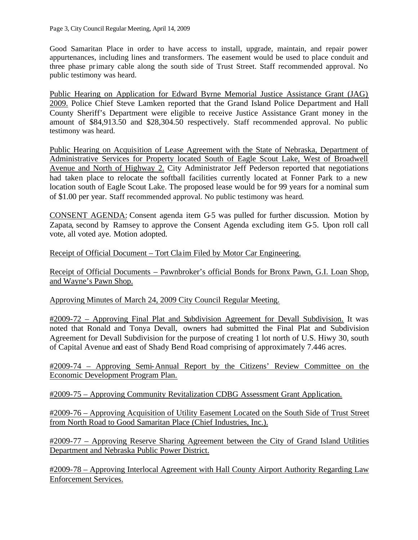Good Samaritan Place in order to have access to install, upgrade, maintain, and repair power appurtenances, including lines and transformers. The easement would be used to place conduit and three phase primary cable along the south side of Trust Street. Staff recommended approval. No public testimony was heard.

Public Hearing on Application for Edward Byrne Memorial Justice Assistance Grant (JAG) 2009. Police Chief Steve Lamken reported that the Grand Island Police Department and Hall County Sheriff's Department were eligible to receive Justice Assistance Grant money in the amount of \$84,913.50 and \$28,304.50 respectively. Staff recommended approval. No public testimony was heard.

Public Hearing on Acquisition of Lease Agreement with the State of Nebraska, Department of Administrative Services for Property located South of Eagle Scout Lake, West of Broadwell Avenue and North of Highway 2. City Administrator Jeff Pederson reported that negotiations had taken place to relocate the softball facilities currently located at Fonner Park to a new location south of Eagle Scout Lake. The proposed lease would be for 99 years for a nominal sum of \$1.00 per year. Staff recommended approval. No public testimony was heard.

CONSENT AGENDA: Consent agenda item G-5 was pulled for further discussion. Motion by Zapata, second by Ramsey to approve the Consent Agenda excluding item G-5. Upon roll call vote, all voted aye. Motion adopted.

Receipt of Official Document – Tort Claim Filed by Motor Car Engineering.

Receipt of Official Documents – Pawnbroker's official Bonds for Bronx Pawn, G.I. Loan Shop, and Wayne's Pawn Shop.

Approving Minutes of March 24, 2009 City Council Regular Meeting.

#2009-72 – Approving Final Plat and Subdivision Agreement for Devall Subdivision. It was noted that Ronald and Tonya Devall, owners had submitted the Final Plat and Subdivision Agreement for Devall Subdivision for the purpose of creating 1 lot north of U.S. Hiwy 30, south of Capital Avenue and east of Shady Bend Road comprising of approximately 7.446 acres.

#2009-74 – Approving Semi-Annual Report by the Citizens' Review Committee on the Economic Development Program Plan.

#2009-75 – Approving Community Revitalization CDBG Assessment Grant Application.

#2009-76 – Approving Acquisition of Utility Easement Located on the South Side of Trust Street from North Road to Good Samaritan Place (Chief Industries, Inc.).

#2009-77 – Approving Reserve Sharing Agreement between the City of Grand Island Utilities Department and Nebraska Public Power District.

#2009-78 – Approving Interlocal Agreement with Hall County Airport Authority Regarding Law Enforcement Services.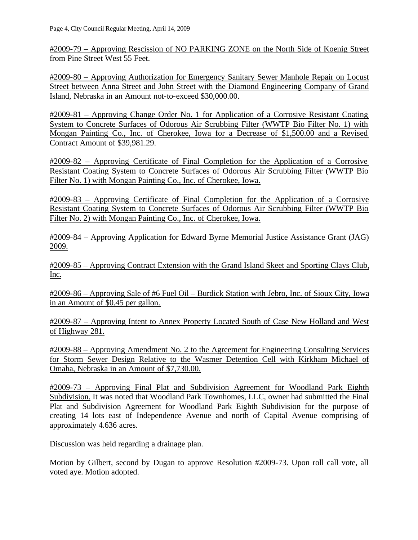#2009-79 – Approving Rescission of NO PARKING ZONE on the North Side of Koenig Street from Pine Street West 55 Feet.

#2009-80 – Approving Authorization for Emergency Sanitary Sewer Manhole Repair on Locust Street between Anna Street and John Street with the Diamond Engineering Company of Grand Island, Nebraska in an Amount not-to-exceed \$30,000.00.

#2009-81 – Approving Change Order No. 1 for Application of a Corrosive Resistant Coating System to Concrete Surfaces of Odorous Air Scrubbing Filter (WWTP Bio Filter No. 1) with Mongan Painting Co., Inc. of Cherokee, Iowa for a Decrease of \$1,500.00 and a Revised Contract Amount of \$39,981.29.

#2009-82 – Approving Certificate of Final Completion for the Application of a Corrosive Resistant Coating System to Concrete Surfaces of Odorous Air Scrubbing Filter (WWTP Bio Filter No. 1) with Mongan Painting Co., Inc. of Cherokee, Iowa.

#2009-83 – Approving Certificate of Final Completion for the Application of a Corrosive Resistant Coating System to Concrete Surfaces of Odorous Air Scrubbing Filter (WWTP Bio Filter No. 2) with Mongan Painting Co., Inc. of Cherokee, Iowa.

#2009-84 – Approving Application for Edward Byrne Memorial Justice Assistance Grant (JAG) 2009.

#2009-85 – Approving Contract Extension with the Grand Island Skeet and Sporting Clays Club, Inc.

#2009-86 – Approving Sale of #6 Fuel Oil – Burdick Station with Jebro, Inc. of Sioux City, Iowa in an Amount of \$0.45 per gallon.

#2009-87 – Approving Intent to Annex Property Located South of Case New Holland and West of Highway 281.

#2009-88 – Approving Amendment No. 2 to the Agreement for Engineering Consulting Services for Storm Sewer Design Relative to the Wasmer Detention Cell with Kirkham Michael of Omaha, Nebraska in an Amount of \$7,730.00.

#2009-73 – Approving Final Plat and Subdivision Agreement for Woodland Park Eighth Subdivision. It was noted that Woodland Park Townhomes, LLC, owner had submitted the Final Plat and Subdivision Agreement for Woodland Park Eighth Subdivision for the purpose of creating 14 lots east of Independence Avenue and north of Capital Avenue comprising of approximately 4.636 acres.

Discussion was held regarding a drainage plan.

Motion by Gilbert, second by Dugan to approve Resolution #2009-73. Upon roll call vote, all voted aye. Motion adopted.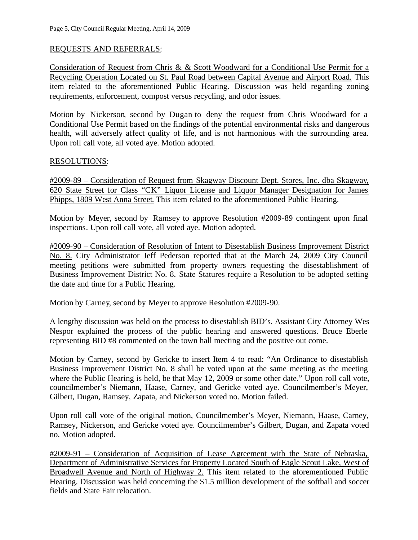### REQUESTS AND REFERRALS:

Consideration of Request from Chris & & Scott Woodward for a Conditional Use Permit for a Recycling Operation Located on St. Paul Road between Capital Avenue and Airport Road. This item related to the aforementioned Public Hearing. Discussion was held regarding zoning requirements, enforcement, compost versus recycling, and odor issues.

Motion by Nickerson, second by Dugan to deny the request from Chris Woodward for a Conditional Use Permit based on the findings of the potential environmental risks and dangerous health, will adversely affect quality of life, and is not harmonious with the surrounding area. Upon roll call vote, all voted aye. Motion adopted.

#### RESOLUTIONS:

#2009-89 – Consideration of Request from Skagway Discount Dept. Stores, Inc. dba Skagway, 620 State Street for Class "CK" Liquor License and Liquor Manager Designation for James Phipps, 1809 West Anna Street. This item related to the aforementioned Public Hearing.

Motion by Meyer, second by Ramsey to approve Resolution #2009-89 contingent upon final inspections. Upon roll call vote, all voted aye. Motion adopted.

#2009-90 – Consideration of Resolution of Intent to Disestablish Business Improvement District No. 8. City Administrator Jeff Pederson reported that at the March 24, 2009 City Council meeting petitions were submitted from property owners requesting the disestablishment of Business Improvement District No. 8. State Statures require a Resolution to be adopted setting the date and time for a Public Hearing.

Motion by Carney, second by Meyer to approve Resolution #2009-90.

A lengthy discussion was held on the process to disestablish BID's. Assistant City Attorney Wes Nespor explained the process of the public hearing and answered questions. Bruce Eberle representing BID #8 commented on the town hall meeting and the positive out come.

Motion by Carney, second by Gericke to insert Item 4 to read: "An Ordinance to disestablish Business Improvement District No. 8 shall be voted upon at the same meeting as the meeting where the Public Hearing is held, be that May 12, 2009 or some other date." Upon roll call vote, councilmember's Niemann, Haase, Carney, and Gericke voted aye. Councilmember's Meyer, Gilbert, Dugan, Ramsey, Zapata, and Nickerson voted no. Motion failed.

Upon roll call vote of the original motion, Councilmember's Meyer, Niemann, Haase, Carney, Ramsey, Nickerson, and Gericke voted aye. Councilmember's Gilbert, Dugan, and Zapata voted no. Motion adopted.

#2009-91 – Consideration of Acquisition of Lease Agreement with the State of Nebraska, Department of Administrative Services for Property Located South of Eagle Scout Lake, West of Broadwell Avenue and North of Highway 2. This item related to the aforementioned Public Hearing. Discussion was held concerning the \$1.5 million development of the softball and soccer fields and State Fair relocation.